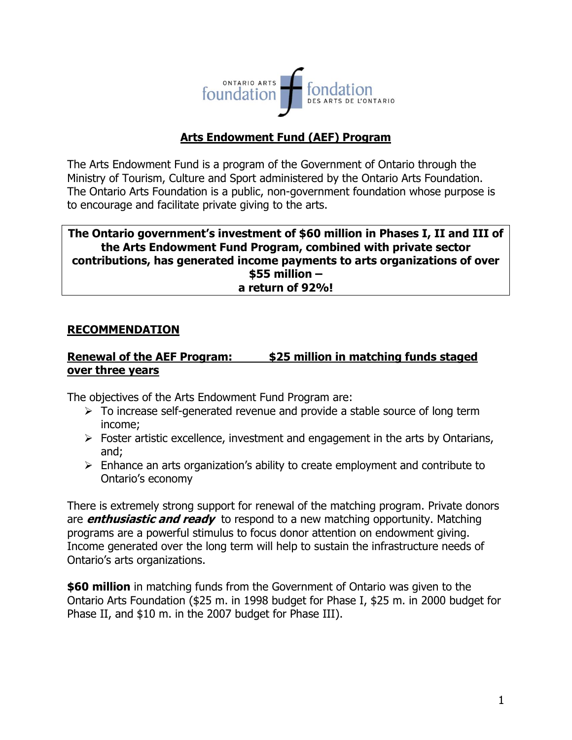

# **Arts Endowment Fund (AEF) Program**

The Arts Endowment Fund is a program of the Government of Ontario through the Ministry of Tourism, Culture and Sport administered by the Ontario Arts Foundation. The Ontario Arts Foundation is a public, non-government foundation whose purpose is to encourage and facilitate private giving to the arts.

#### **The Ontario government's investment of \$60 million in Phases I, II and III of the Arts Endowment Fund Program, combined with private sector contributions, has generated income payments to arts organizations of over \$55 million – a return of 92%!**

### **RECOMMENDATION**

### **Renewal of the AEF Program: \$25 million in matching funds staged over three years**

The objectives of the Arts Endowment Fund Program are:

- $\triangleright$  To increase self-generated revenue and provide a stable source of long term income;
- $\triangleright$  Foster artistic excellence, investment and engagement in the arts by Ontarians, and;
- $\triangleright$  Enhance an arts organization's ability to create employment and contribute to Ontario's economy

There is extremely strong support for renewal of the matching program. Private donors are **enthusiastic and ready** to respond to a new matching opportunity. Matching programs are a powerful stimulus to focus donor attention on endowment giving. Income generated over the long term will help to sustain the infrastructure needs of Ontario's arts organizations.

**\$60 million** in matching funds from the Government of Ontario was given to the Ontario Arts Foundation (\$25 m. in 1998 budget for Phase I, \$25 m. in 2000 budget for Phase II, and \$10 m. in the 2007 budget for Phase III).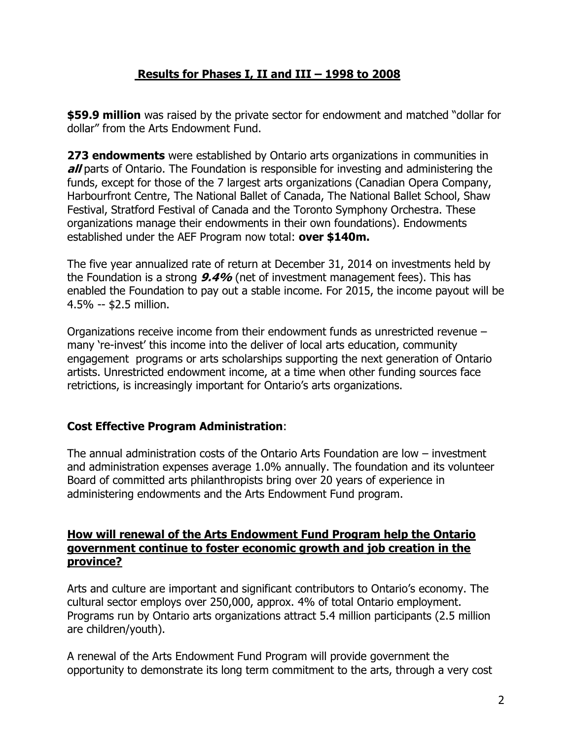## **Results for Phases I, II and III – 1998 to 2008**

**\$59.9 million** was raised by the private sector for endowment and matched "dollar for dollar" from the Arts Endowment Fund.

**273 endowments** were established by Ontario arts organizations in communities in **all** parts of Ontario. The Foundation is responsible for investing and administering the funds, except for those of the 7 largest arts organizations (Canadian Opera Company, Harbourfront Centre, The National Ballet of Canada, The National Ballet School, Shaw Festival, Stratford Festival of Canada and the Toronto Symphony Orchestra. These organizations manage their endowments in their own foundations). Endowments established under the AEF Program now total: **over \$140m.**

The five year annualized rate of return at December 31, 2014 on investments held by the Foundation is a strong **9.4%** (net of investment management fees). This has enabled the Foundation to pay out a stable income. For 2015, the income payout will be 4.5% -- \$2.5 million.

Organizations receive income from their endowment funds as unrestricted revenue – many 're-invest' this income into the deliver of local arts education, community engagement programs or arts scholarships supporting the next generation of Ontario artists. Unrestricted endowment income, at a time when other funding sources face retrictions, is increasingly important for Ontario's arts organizations.

### **Cost Effective Program Administration**:

The annual administration costs of the Ontario Arts Foundation are low – investment and administration expenses average 1.0% annually. The foundation and its volunteer Board of committed arts philanthropists bring over 20 years of experience in administering endowments and the Arts Endowment Fund program.

### **How will renewal of the Arts Endowment Fund Program help the Ontario government continue to foster economic growth and job creation in the province?**

Arts and culture are important and significant contributors to Ontario's economy. The cultural sector employs over 250,000, approx. 4% of total Ontario employment. Programs run by Ontario arts organizations attract 5.4 million participants (2.5 million are children/youth).

A renewal of the Arts Endowment Fund Program will provide government the opportunity to demonstrate its long term commitment to the arts, through a very cost